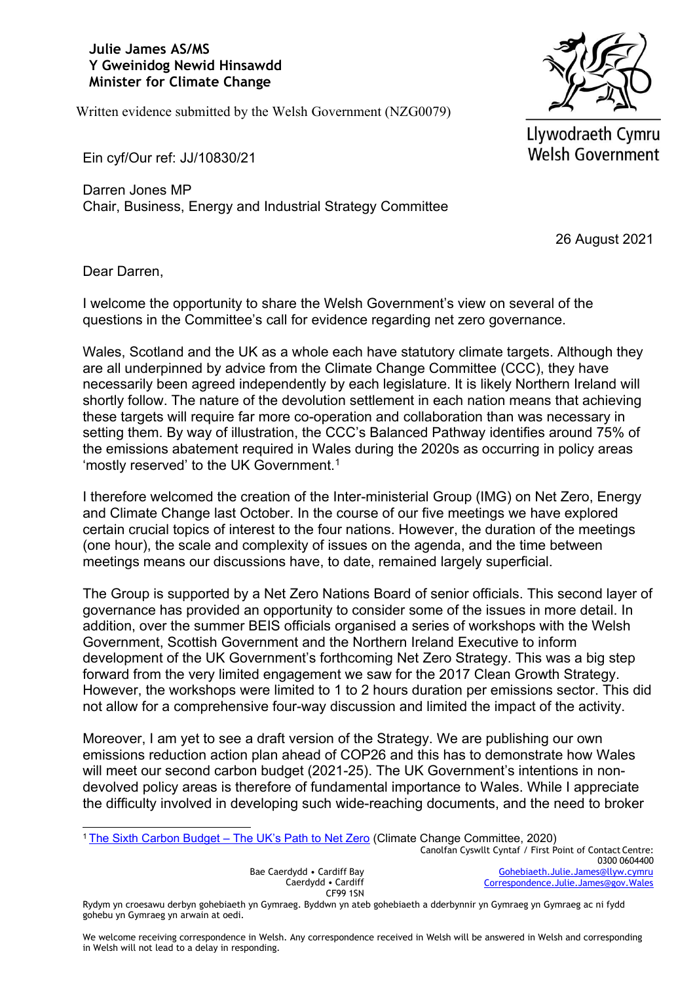## **Julie James AS/MS Y Gweinidog Newid Hinsawdd Minister for Climate Change**

Written evidence submitted by the Welsh Government (NZG0079)



Llywodraeth Cymru **Welsh Government** 

Ein cyf/Our ref: JJ/10830/21

Darren Jones MP Chair, Business, Energy and Industrial Strategy Committee

26 August 2021

Dear Darren,

I welcome the opportunity to share the Welsh Government's view on several of the questions in the Committee's call for evidence regarding net zero governance.

Wales, Scotland and the UK as a whole each have statutory climate targets. Although they are all underpinned by advice from the Climate Change Committee (CCC), they have necessarily been agreed independently by each legislature. It is likely Northern Ireland will shortly follow. The nature of the devolution settlement in each nation means that achieving these targets will require far more co-operation and collaboration than was necessary in setting them. By way of illustration, the CCC's Balanced Pathway identifies around 75% of the emissions abatement required in Wales during the 2020s as occurring in policy areas 'mostly reserved' to the UK Government.<sup>1</sup>

I therefore welcomed the creation of the Inter-ministerial Group (IMG) on Net Zero, Energy and Climate Change last October. In the course of our five meetings we have explored certain crucial topics of interest to the four nations. However, the duration of the meetings (one hour), the scale and complexity of issues on the agenda, and the time between meetings means our discussions have, to date, remained largely superficial.

The Group is supported by a Net Zero Nations Board of senior officials. This second layer of governance has provided an opportunity to consider some of the issues in more detail. In addition, over the summer BEIS officials organised a series of workshops with the Welsh Government, Scottish Government and the Northern Ireland Executive to inform development of the UK Government's forthcoming Net Zero Strategy. This was a big step forward from the very limited engagement we saw for the 2017 Clean Growth Strategy. However, the workshops were limited to 1 to 2 hours duration per emissions sector. This did not allow for a comprehensive four-way discussion and limited the impact of the activity.

Moreover, I am yet to see a draft version of the Strategy. We are publishing our own emissions reduction action plan ahead of COP26 and this has to demonstrate how Wales will meet our second carbon budget (2021-25). The UK Government's intentions in nondevolved policy areas is therefore of fundamental importance to Wales. While I appreciate the difficulty involved in developing such wide-reaching documents, and the need to broker

<sup>1</sup> [The](https://www.theccc.org.uk/wp-content/uploads/2020/12/The-Sixth-Carbon-Budget-The-UKs-path-to-Net-Zero.pdf) [Sixth](https://www.theccc.org.uk/wp-content/uploads/2020/12/The-Sixth-Carbon-Budget-The-UKs-path-to-Net-Zero.pdf) [Carbon](https://www.theccc.org.uk/wp-content/uploads/2020/12/The-Sixth-Carbon-Budget-The-UKs-path-to-Net-Zero.pdf) [Budget](https://www.theccc.org.uk/wp-content/uploads/2020/12/The-Sixth-Carbon-Budget-The-UKs-path-to-Net-Zero.pdf) [–](https://www.theccc.org.uk/wp-content/uploads/2020/12/The-Sixth-Carbon-Budget-The-UKs-path-to-Net-Zero.pdf) [The](https://www.theccc.org.uk/wp-content/uploads/2020/12/The-Sixth-Carbon-Budget-The-UKs-path-to-Net-Zero.pdf) [UK's](https://www.theccc.org.uk/wp-content/uploads/2020/12/The-Sixth-Carbon-Budget-The-UKs-path-to-Net-Zero.pdf) [Path](https://www.theccc.org.uk/wp-content/uploads/2020/12/The-Sixth-Carbon-Budget-The-UKs-path-to-Net-Zero.pdf) [to](https://www.theccc.org.uk/wp-content/uploads/2020/12/The-Sixth-Carbon-Budget-The-UKs-path-to-Net-Zero.pdf) [Net](https://www.theccc.org.uk/wp-content/uploads/2020/12/The-Sixth-Carbon-Budget-The-UKs-path-to-Net-Zero.pdf) [Zero](https://www.theccc.org.uk/wp-content/uploads/2020/12/The-Sixth-Carbon-Budget-The-UKs-path-to-Net-Zero.pdf) [\(](https://www.theccc.org.uk/wp-content/uploads/2020/12/The-Sixth-Carbon-Budget-The-UKs-path-to-Net-Zero.pdf)Climate Change Committee, 2020)

Canolfan Cyswllt Cyntaf / First Point of Contact Centre: 0300 0604400 [Gohebiaeth.Julie.James@llyw.cymru](mailto:Gohebiaeth.Julie.James@llyw.cymru) [Correspondence.Julie.James@gov.Wales](mailto:Correspondence.Julie.James@gov.wales)

Bae Caerdydd • Cardiff Bay Caerdydd • Cardiff CF99 1SN

We welcome receiving correspondence in Welsh. Any correspondence received in Welsh will be answered in Welsh and corresponding in Welsh will not lead to a delay in responding.

Rydym yn croesawu derbyn gohebiaeth yn Gymraeg. Byddwn yn ateb gohebiaeth a dderbynnir yn Gymraeg yn Gymraeg ac ni fydd gohebu yn Gymraeg yn arwain at oedi.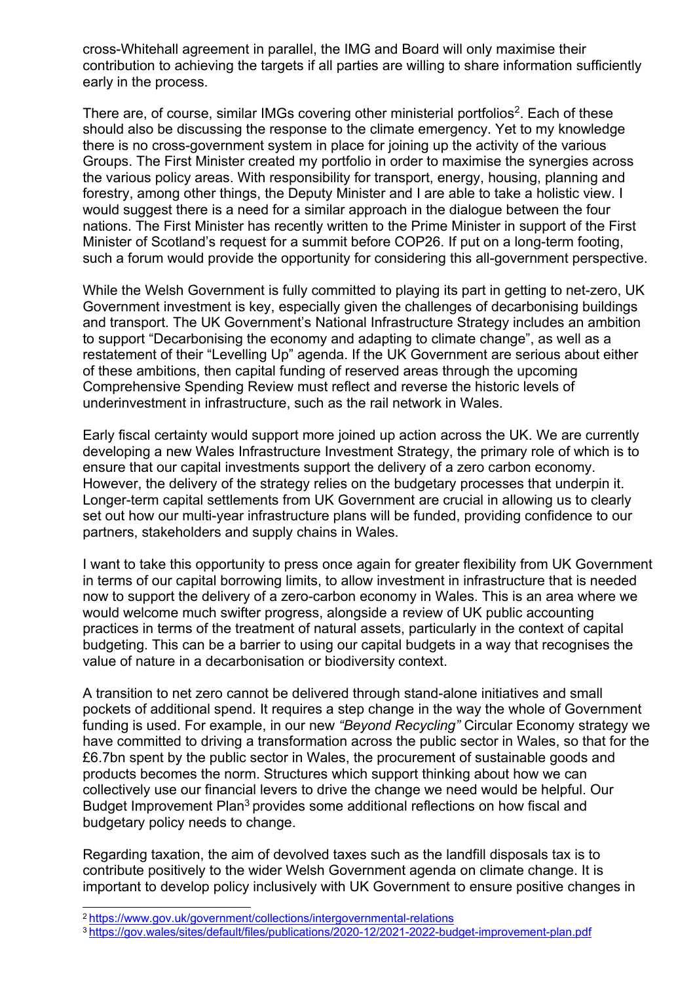cross-Whitehall agreement in parallel, the IMG and Board will only maximise their contribution to achieving the targets if all parties are willing to share information sufficiently early in the process.

There are, of course, similar IMGs covering other ministerial portfolios<sup>2</sup>. Each of these should also be discussing the response to the climate emergency. Yet to my knowledge there is no cross-government system in place for joining up the activity of the various Groups. The First Minister created my portfolio in order to maximise the synergies across the various policy areas. With responsibility for transport, energy, housing, planning and forestry, among other things, the Deputy Minister and I are able to take a holistic view. I would suggest there is a need for a similar approach in the dialogue between the four nations. The First Minister has recently written to the Prime Minister in support of the First Minister of Scotland's request for a summit before COP26. If put on a long-term footing, such a forum would provide the opportunity for considering this all-government perspective.

While the Welsh Government is fully committed to playing its part in getting to net-zero, UK Government investment is key, especially given the challenges of decarbonising buildings and transport. The UK Government's National Infrastructure Strategy includes an ambition to support "Decarbonising the economy and adapting to climate change", as well as a restatement of their "Levelling Up" agenda. If the UK Government are serious about either of these ambitions, then capital funding of reserved areas through the upcoming Comprehensive Spending Review must reflect and reverse the historic levels of underinvestment in infrastructure, such as the rail network in Wales.

Early fiscal certainty would support more joined up action across the UK. We are currently developing a new Wales Infrastructure Investment Strategy, the primary role of which is to ensure that our capital investments support the delivery of a zero carbon economy. However, the delivery of the strategy relies on the budgetary processes that underpin it. Longer-term capital settlements from UK Government are crucial in allowing us to clearly set out how our multi-year infrastructure plans will be funded, providing confidence to our partners, stakeholders and supply chains in Wales.

I want to take this opportunity to press once again for greater flexibility from UK Government in terms of our capital borrowing limits, to allow investment in infrastructure that is needed now to support the delivery of a zero-carbon economy in Wales. This is an area where we would welcome much swifter progress, alongside a review of UK public accounting practices in terms of the treatment of natural assets, particularly in the context of capital budgeting. This can be a barrier to using our capital budgets in a way that recognises the value of nature in a decarbonisation or biodiversity context.

A transition to net zero cannot be delivered through stand-alone initiatives and small pockets of additional spend. It requires a step change in the way the whole of Government funding is used. For example, in our new *"Beyond Recycling"* Circular Economy strategy we have committed to driving a transformation across the public sector in Wales, so that for the £6.7bn spent by the public sector in Wales, the procurement of sustainable goods and products becomes the norm. Structures which support thinking about how we can collectively use our financial levers to drive the change we need would be helpful. Our Budget Improvement Plan<sup>3</sup> provides some additional reflections on how fiscal and budgetary policy needs to change.

Regarding taxation, the aim of devolved taxes such as the landfill disposals tax is to contribute positively to the wider Welsh Government agenda on climate change. It is important to develop policy inclusively with UK Government to ensure positive changes in

<sup>2</sup> <https://www.gov.uk/government/collections/intergovernmental-relations>

<sup>3</sup> <https://gov.wales/sites/default/files/publications/2020-12/2021-2022-budget-improvement-plan.pdf>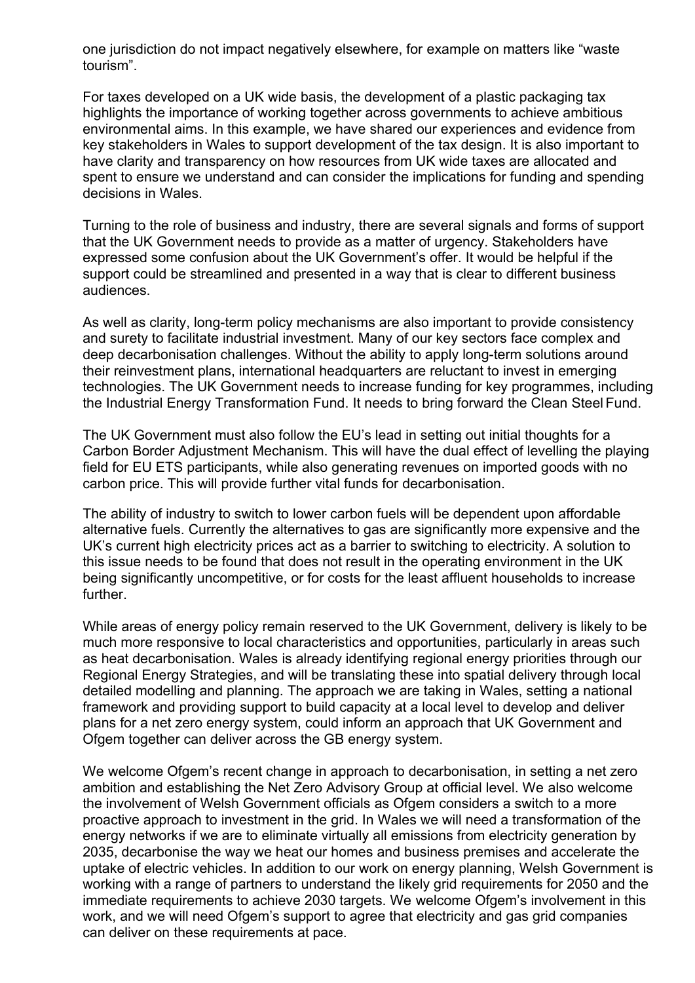one jurisdiction do not impact negatively elsewhere, for example on matters like "waste tourism".

For taxes developed on a UK wide basis, the development of a plastic packaging tax highlights the importance of working together across governments to achieve ambitious environmental aims. In this example, we have shared our experiences and evidence from key stakeholders in Wales to support development of the tax design. It is also important to have clarity and transparency on how resources from UK wide taxes are allocated and spent to ensure we understand and can consider the implications for funding and spending decisions in Wales.

Turning to the role of business and industry, there are several signals and forms of support that the UK Government needs to provide as a matter of urgency. Stakeholders have expressed some confusion about the UK Government's offer. It would be helpful if the support could be streamlined and presented in a way that is clear to different business audiences.

As well as clarity, long-term policy mechanisms are also important to provide consistency and surety to facilitate industrial investment. Many of our key sectors face complex and deep decarbonisation challenges. Without the ability to apply long-term solutions around their reinvestment plans, international headquarters are reluctant to invest in emerging technologies. The UK Government needs to increase funding for key programmes, including the Industrial Energy Transformation Fund. It needs to bring forward the Clean Steel Fund.

The UK Government must also follow the EU's lead in setting out initial thoughts for a Carbon Border Adjustment Mechanism. This will have the dual effect of levelling the playing field for EU ETS participants, while also generating revenues on imported goods with no carbon price. This will provide further vital funds for decarbonisation.

The ability of industry to switch to lower carbon fuels will be dependent upon affordable alternative fuels. Currently the alternatives to gas are significantly more expensive and the UK's current high electricity prices act as a barrier to switching to electricity. A solution to this issue needs to be found that does not result in the operating environment in the UK being significantly uncompetitive, or for costs for the least affluent households to increase further.

While areas of energy policy remain reserved to the UK Government, delivery is likely to be much more responsive to local characteristics and opportunities, particularly in areas such as heat decarbonisation. Wales is already identifying regional energy priorities through our Regional Energy Strategies, and will be translating these into spatial delivery through local detailed modelling and planning. The approach we are taking in Wales, setting a national framework and providing support to build capacity at a local level to develop and deliver plans for a net zero energy system, could inform an approach that UK Government and Ofgem together can deliver across the GB energy system.

We welcome Ofgem's recent change in approach to decarbonisation, in setting a net zero ambition and establishing the Net Zero Advisory Group at official level. We also welcome the involvement of Welsh Government officials as Ofgem considers a switch to a more proactive approach to investment in the grid. In Wales we will need a transformation of the energy networks if we are to eliminate virtually all emissions from electricity generation by 2035, decarbonise the way we heat our homes and business premises and accelerate the uptake of electric vehicles. In addition to our work on energy planning, Welsh Government is working with a range of partners to understand the likely grid requirements for 2050 and the immediate requirements to achieve 2030 targets. We welcome Ofgem's involvement in this work, and we will need Ofgem's support to agree that electricity and gas grid companies can deliver on these requirements at pace.